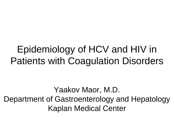# Epidemiology of HCV and HIV in Patients with Coagulation Disorders

Yaakov Maor, M.D. Department of Gastroenterology and Hepatology Kaplan Medical Center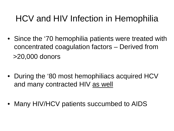# HCV and HIV Infection in Hemophilia

- Since the '70 hemophilia patients were treated with concentrated coagulation factors – Derived from >20,000 donors
- During the '80 most hemophiliacs acquired HCV and many contracted HIV as well
- Many HIV/HCV patients succumbed to AIDS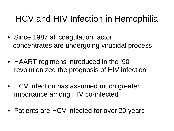## HCV and HIV Infection in Hemophilia

- Since 1987 all coagulation factor concentrates are undergoing virucidal process
- HAART regimens introduced in the '90 revolutionized the prognosis of HIV infection
- HCV infection has assumed much greater importance among HIV co-infected
- Patients are HCV infected for over 20 years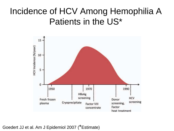## Incidence of HCV Among Hemophilia A Patients in the US\*



Goedert JJ et al. Am J Epidemiol 2007 (\*Estimate)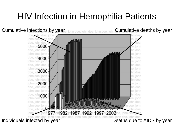# HIV Infection in Hemophilia Patients

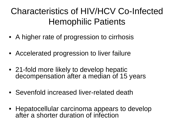# Characteristics of HIV/HCV Co-Infected Hemophilic Patients

- A higher rate of progression to cirrhosis
- Accelerated progression to liver failure
- 21-fold more likely to develop hepatic decompensation after a median of 15 years
- Sevenfold increased liver-related death
- Hepatocellular carcinoma appears to develop after a shorter duration of infection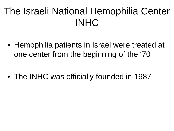# The Israeli National Hemophilia Center INHC

• Hemophilia patients in Israel were treated at one center from the beginning of the '70

• The INHC was officially founded in 1987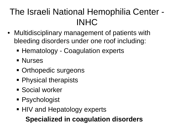# The Israeli National Hemophilia Center - INHC

- Multidisciplinary management of patients with bleeding disorders under one roof including:
	- Hematology Coagulation experts
	- **Nurses**
	- Orthopedic surgeons
	- Physical therapists
	- **Social worker**
	- Psychologist
	- HIV and Hepatology experts **Specialized in coagulation disorders**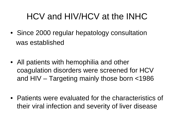# HCV and HIV/HCV at the INHC

- Since 2000 regular hepatology consultation was established
- All patients with hemophilia and other coagulation disorders were screened for HCV and HIV – Targeting mainly those born <1986
- Patients were evaluated for the characteristics of their viral infection and severity of liver disease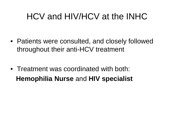# HCV and HIV/HCV at the INHC

- Patients were consulted, and closely followed throughout their anti-HCV treatment
- Treatment was coordinated with both:  **Hemophilia Nurse** and **HIV specialist**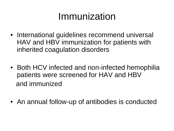# Immunization

- International guidelines recommend universal HAV and HBV immunization for patients with inherited coagulation disorders
- Both HCV infected and non-infected hemophilia patients were screened for HAV and HBV and immunized
- An annual follow-up of antibodies is conducted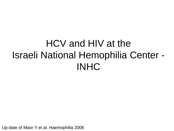# HCV and HIV at the Israeli National Hemophilia Center - INHC

Up-date of Maor Y et al. Haemophilia 2006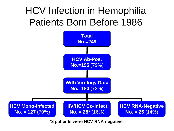# HCV Infection in Hemophilia Patients Born Before 1986



\***3 patients were HCV RNA-negative**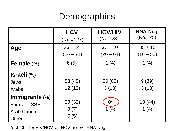## **Demographics**

|                       | <b>HCV</b>  | <b>HCV/HIV</b> | <b>RNA-Neg</b> |  |
|-----------------------|-------------|----------------|----------------|--|
|                       | $(No.=127)$ | $(No = 28)$    | $(No.=25)$     |  |
| Age                   | $36 \pm 14$ | $37 \pm 10$    | $35 \pm 15$    |  |
|                       | $(16 - 71)$ | $(26 - 64)$    | $(16 - 58)$    |  |
| Female $(\%)$         | 6(5)        | 1 $(4)$        | 1 $(4)$        |  |
| <b>Israeli</b> $(\%)$ |             |                |                |  |
| Jews                  | 53 (45)     | 20 (83)        | 9(39)          |  |
| Arabs                 | 12(10)      | 3(13)          | 3(13)          |  |
| Immigrants (%)        |             | $0^*$          |                |  |
| <b>Former USSR</b>    | 39 (33)     |                | 10(44)         |  |
| Arab Countr.          | 9(7)        | (4)            | 1 $(4)$        |  |
| Other                 | 6(5)        |                |                |  |

*\*p*<0.001 for HIV/HCV *vs*. HCV and *vs.* RNA-Neg.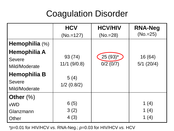#### Coagulation Disorder

|                     | <b>HCV</b><br>$(No = 127)$ | <b>HCV/HIV</b><br>$(No = 28)$ | <b>RNA-Neg</b><br>$(No.=25)$ |  |
|---------------------|----------------------------|-------------------------------|------------------------------|--|
| Hemophilia (%)      |                            |                               |                              |  |
| <b>Hemophilia A</b> | 93 (74)                    | $[25 (93)^{*}]$               | 16 (64)                      |  |
| <b>Severe</b>       | $11/1$ (9/0.8)             | $0/2$ (0/7)                   | $5/1$ (20/4)                 |  |
| Mild/Moderate       |                            |                               |                              |  |
| <b>Hemophilia B</b> | 5(4)                       |                               |                              |  |
| <b>Severe</b>       | $1/2$ (0.8/2)              |                               |                              |  |
| Mild/Moderate       |                            |                               |                              |  |
| Other $(\%)$        |                            |                               |                              |  |
| <b>vWD</b>          | 6(5)                       |                               | 1 $(4)$                      |  |
| Glanzmann           | 3(2)                       |                               | 1 $(4)$                      |  |
| Other               | 4(3)                       |                               | 1 $(4)$                      |  |

*\*p*=0.01 for HIV/HCV *vs.* RNA-Neg.; *p*=0.03 for HIV/HCV *vs.* HCV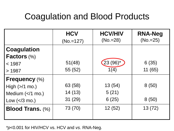## Coagulation and Blood Products

|                                               | <b>HCV</b>   | <b>HCV/HIV</b> | <b>RNA-Neg</b> |  |
|-----------------------------------------------|--------------|----------------|----------------|--|
|                                               | $(No = 127)$ | $(No = 28)$    | $(No = 25)$    |  |
| <b>Coagulation</b>                            |              |                |                |  |
| Factors (%)                                   |              |                |                |  |
| < 1987                                        | 51(48)       | $23(96)$ *     | 6(35)          |  |
| >1987                                         | 55 (52)      | 1(4)           | 11 (65)        |  |
| <b>Frequency (%)</b>                          |              |                |                |  |
| High $(\ge)1$ mo.)                            | 63 (58)      | 13(54)         | 8(50)          |  |
| Medium $\left(\frac{2}{1} \text{ mo.}\right)$ | 14(13)       | 5(21)          |                |  |
| Low $(3 \text{ mo.})$                         | 31(29)       | 6(25)          | 8(50)          |  |
| <b>Blood Trans.</b> (%)                       | 73 (70)      | 12(52)         | 13(72)         |  |
|                                               |              |                |                |  |

*\*p*<0.001 for HIV/HCV vs. HCV and *vs.* RNA-Neg.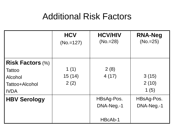#### Additional Risk Factors

|                                                                               | <b>HCV</b><br>$(No = 127)$ | <b>HCV/HIV</b><br>$(No.=28)$        | <b>RNA-Neg</b><br>$(No = 25)$ |
|-------------------------------------------------------------------------------|----------------------------|-------------------------------------|-------------------------------|
| <b>Risk Factors (%)</b><br>Tattoo<br>Alcohol<br>Tattoo+Alcohol<br><b>IVDA</b> | 1 $(1)$<br>15(14)<br>2(2)  | 2(8)<br>4(17)                       | 3(15)<br>2(10)<br>1(5)        |
| <b>HBV Serology</b>                                                           |                            | HBsAg-Pos.<br>DNA-Neg -1<br>HBcAb-1 | HBsAg-Pos.<br>DNA-Neg.-1      |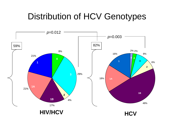#### Distribution of HCV Genotypes

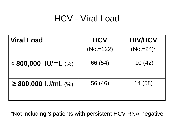### HCV - Viral Load

| <b>Viral Load</b>        | <b>HCV</b>  | <b>HIV/HCV</b> |  |
|--------------------------|-------------|----------------|--|
|                          | $(No.=122)$ | $(No.=24)^*$   |  |
| $< 800,000$ IU/mL $(\%)$ | 66 (54)     | 10(42)         |  |
| $\geq$ 800,000 IU/mL (%) | 56 (46)     | 14 (58)        |  |

\*Not including 3 patients with persistent HCV RNA-negative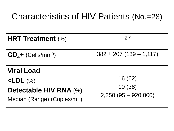#### Characteristics of HIV Patients (No.=28)

| HRT Treatment (%)                                                                                         | 27                                         |
|-----------------------------------------------------------------------------------------------------------|--------------------------------------------|
| $CD4+$ (Cells/mm <sup>3</sup> )                                                                           | $382 \pm 207$ (139 – 1,117)                |
| <b>Viral Load</b><br>$\langle$ LDL $(\% )$<br><b>Detectable HIV RNA (%)</b><br>Median (Range) (Copies/mL) | 16(62)<br>10(38)<br>$2,350 (95 - 920,000)$ |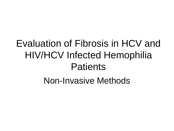# Evaluation of Fibrosis in HCV and HIV/HCV Infected Hemophilia **Patients** Non-Invasive Methods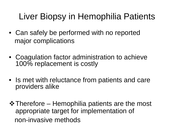# Liver Biopsy in Hemophilia Patients

- Can safely be performed with no reported major complications
- Coagulation factor administration to achieve 100% replacement is costly
- Is met with reluctance from patients and care providers alike
- $\cdot$  Therefore Hemophilia patients are the most appropriate target for implementation of non-invasive methods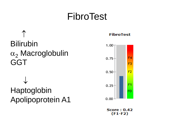# FibroTest



#### **FibroTest**



**Score: 0.42**  $(F1-F2)$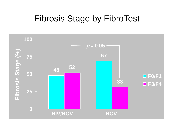#### Fibrosis Stage by FibroTest

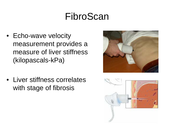# FibroScan

- Echo-wave velocity measurement provides a measure of liver stiffness (kilopascals-kPa)
- Liver stiffness correlates with stage of fibrosis



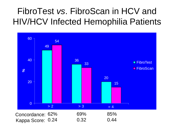# FibroTest *vs*. FibroScan in HCV and HIV/HCV Infected Hemophilia Patients

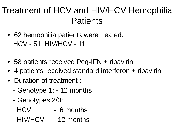# Treatment of HCV and HIV/HCV Hemophilia **Patients**

- 62 hemophilia patients were treated: HCV - 51; HIV/HCV - 11
- 58 patients received Peg-IFN + ribavirin
- 4 patients received standard interferon + ribavirin
- Duration of treatment :
	- Genotype 1: 12 months
	- Genotypes 2/3:
		- HCV 6 months
		- HIV/HCV 12 months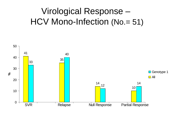## Virological Response – HCV Mono-Infection (No.= 51)

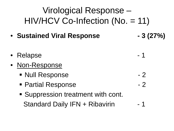# Virological Response – HIV/HCV Co-Infection (No. = 11)

- **Sustained Viral Response - 3 (27%)**
	-
- Relapse 1
- Non-Response
	- Null Response 2
	- Partial Response → 2
		- **Suppression treatment with cont.** Standard Daily IFN + Ribavirin - 1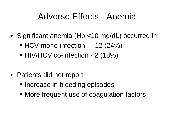#### Adverse Effects - Anemia

- Significant anemia (Hb <10 mg/dL) occurred in:
	- $\blacksquare$  HCV mono-infection 12 (24%)
	- HIV/HCV co-infection 2 (18%)
- Patients did not report:
	- **Increase in bleeding episodes**
	- More frequent use of coagulation factors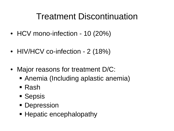## Treatment Discontinuation

- HCV mono-infection 10 (20%)
- HIV/HCV co-infection 2 (18%)
- Major reasons for treatment D/C:
	- Anemia (Including aplastic anemia)
	- Rash
	- **Sepsis**
	- **Depression**
	- **Hepatic encephalopathy**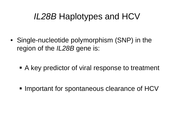## *IL28B* Haplotypes and HCV

- Single-nucleotide polymorphism (SNP) in the region of the *IL28B* gene is:
	- A key predictor of viral response to treatment
	- **Important for spontaneous clearance of HCV**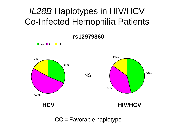## *IL28B* Haplotypes in HIV/HCV Co-Infected Hemophilia Patients

**rs12979860**

 $\Box$  CC  $\Box$  CT  $\Box$  TT



**CC** = Favorable haplotype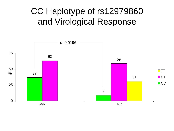## CC Haplotype of rs12979860 and Virological Response

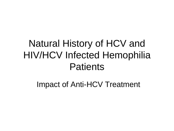# Natural History of HCV and HIV/HCV Infected Hemophilia **Patients**

Impact of Anti-HCV Treatment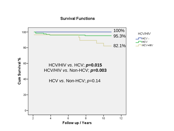#### **Survival Functions**

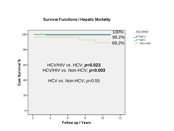**Survival Functions / Hepatic Mortality** 

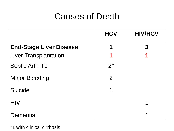#### Causes of Death

|                                | <b>HCV</b>     | <b>HIV/HCV</b> |
|--------------------------------|----------------|----------------|
| <b>End-Stage Liver Disease</b> | 1              | 3              |
| <b>Liver Transplantation</b>   | 1              | 1              |
| <b>Septic Arthritis</b>        | $2^*$          |                |
| <b>Major Bleeding</b>          | $\overline{2}$ |                |
| <b>Suicide</b>                 | 1              |                |
| <b>HIV</b>                     |                | ↿              |
| Dementia                       |                |                |

\*1 with clinical cirrhosis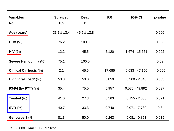| <b>Variables</b>              | <b>Survived</b> | <b>Dead</b>     | <b>RR</b> | 95% CI           | p-value |
|-------------------------------|-----------------|-----------------|-----------|------------------|---------|
| No.                           | 189             | 11              |           |                  |         |
| Age (years)                   | $33.1 \pm 13.4$ | $45.5 \pm 12.8$ |           |                  | 0.006   |
| HCV (%)                       | 76.2            | 100.0           |           |                  | 0.066   |
| HIV (%)                       | 12.2            | 45.5            | 5.120     | 1.674 - 15.651   | 0.002   |
| Severe Hemophilia (%)         | 75.1            | 100.0           |           |                  | 0.59    |
| <b>Clinical Cirrhosis (%)</b> | 2.1             | 45.5            | 17.685    | $6.633 - 47.150$ | < 0.000 |
| High Viral Load* (%)          | 53.3            | 50.0            | 0.859     | $0.260 - 2.840$  | 0.803   |
| F3-F4 (by FT**) $(\%)$        | 35.4            | 75.0            | 5.957     | $0.575 - 49.892$ | 0.097   |
| Treated $(\%)$                | 41.0            | 27.3            | 0.563     | $0.155 - 2.038$  | 0.371   |
| SVR $(%)$                     | 40.7            | 33.3            | 0.740     | $0.071 - 7.730$  | 0.8     |
| Genotype $1$ $(\%)$           | 81.3            | 50.0            | 0.263     | $0.081 - 0.851$  | 0.019   |

\*≥800,000 IU/mL; FT-FibroTest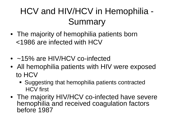# HCV and HIV/HCV in Hemophilia - Summary

- The majority of hemophilia patients born <1986 are infected with HCV
- ~15% are HIV/HCV co-infected
- All hemophilia patients with HIV were exposed to HCV
	- Suggesting that hemophilia patients contracted HCV first
- The majority HIV/HCV co-infected have severe hemophilia and received coagulation factors before 1987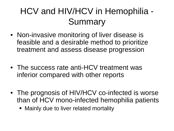# HCV and HIV/HCV in Hemophilia - Summary

- Non-invasive monitoring of liver disease is feasible and a desirable method to prioritize treatment and assess disease progression
- The success rate anti-HCV treatment was inferior compared with other reports
- The prognosis of HIV/HCV co-infected is worse than of HCV mono-infected hemophilia patients
	- **Mainly due to liver related mortality**